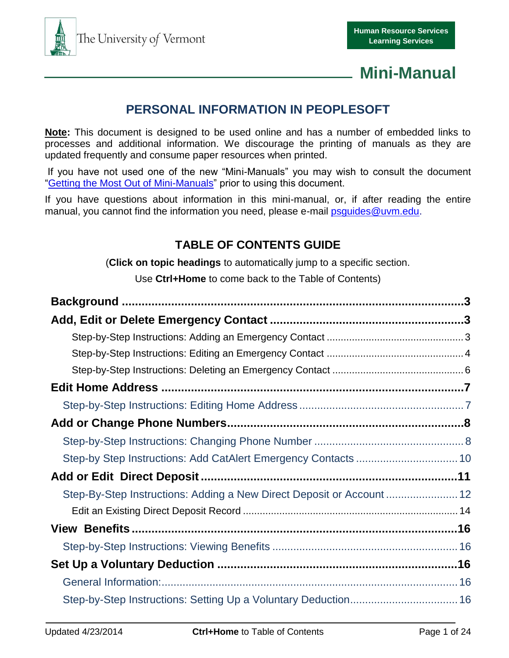

## **PERSONAL INFORMATION IN PEOPLESOFT**

**Note:** This document is designed to be used online and has a number of embedded links to processes and additional information. We discourage the printing of manuals as they are updated frequently and consume paper resources when printed.

If you have not used one of the new "Mini-Manuals" you may wish to consult the document ["Getting the Most Out of Mini-Manuals"](http://www.uvm.edu/hrs/skills/manuals/getmost.pdf) prior to using this document.

If you have questions about information in this mini-manual, or, if after reading the entire manual, you cannot find the information you need, please e-mail psquides@uvm.edu.

## **TABLE OF CONTENTS GUIDE**

(**Click on topic headings** to automatically jump to a specific section.

Use **Ctrl+Home** to come back to the Table of Contents)

| Step-by Step Instructions: Add CatAlert Emergency Contacts  10        |  |
|-----------------------------------------------------------------------|--|
|                                                                       |  |
| Step-By-Step Instructions: Adding a New Direct Deposit or Account  12 |  |
|                                                                       |  |
|                                                                       |  |
|                                                                       |  |
|                                                                       |  |
|                                                                       |  |
| Step-by-Step Instructions: Setting Up a Voluntary Deduction 16        |  |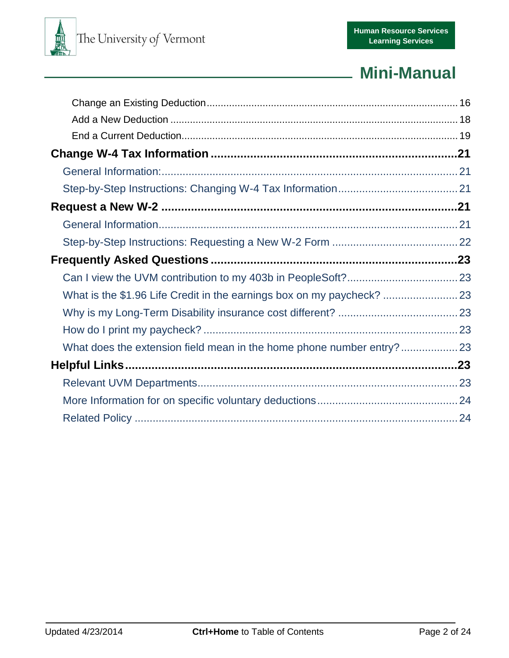

| What is the \$1.96 Life Credit in the earnings box on my paycheck? |  |
|--------------------------------------------------------------------|--|
|                                                                    |  |
|                                                                    |  |
| What does the extension field mean in the home phone number entry? |  |
|                                                                    |  |
|                                                                    |  |
|                                                                    |  |
|                                                                    |  |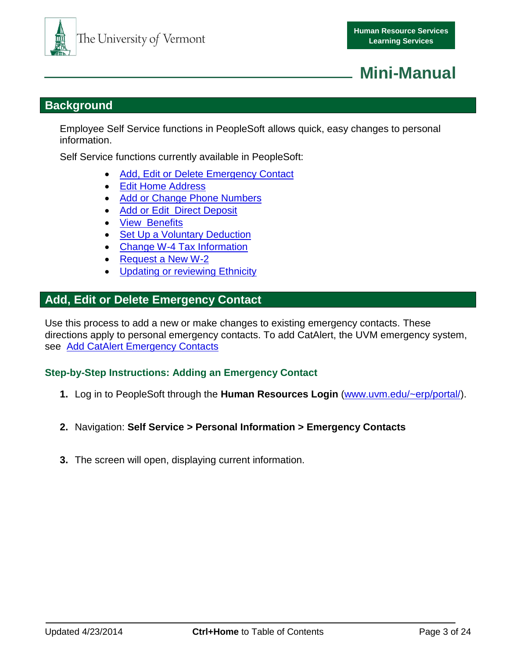

## <span id="page-2-0"></span>**Background**

Employee Self Service functions in PeopleSoft allows quick, easy changes to personal information.

Self Service functions currently available in PeopleSoft:

- [Add, Edit or Delete Emergency Contact](#page-2-1)
- [Edit Home Address](#page-6-0)
- [Add or Change Phone Numbers](#page-7-0)
- [Add or Edit Direct Deposit](#page-10-1)
- [View Benefits](#page-15-6)
- [Set Up a Voluntary Deduction](#page-15-2)
- [Change W-4 Tax Information](#page-20-0)
- [Request a New W-2](#page-20-3)
- Updating or reviewing Ethnicity

### <span id="page-2-1"></span>**Add, Edit or Delete Emergency Contact**

Use this process to add a new or make changes to existing emergency contacts. These directions apply to personal emergency contacts. To add CatAlert, the UVM emergency system, see [Add CatAlert Emergency Contacts](#page-9-0)

#### <span id="page-2-2"></span>**Step-by-Step Instructions: Adding an Emergency Contact**

- **1.** Log in to PeopleSoft through the **Human Resources Login** [\(www.uvm.edu/~erp/portal/\)](http://www.uvm.edu/~erp/portal/).
- **2.** Navigation: **Self Service > Personal Information > Emergency Contacts**
- **3.** The screen will open, displaying current information.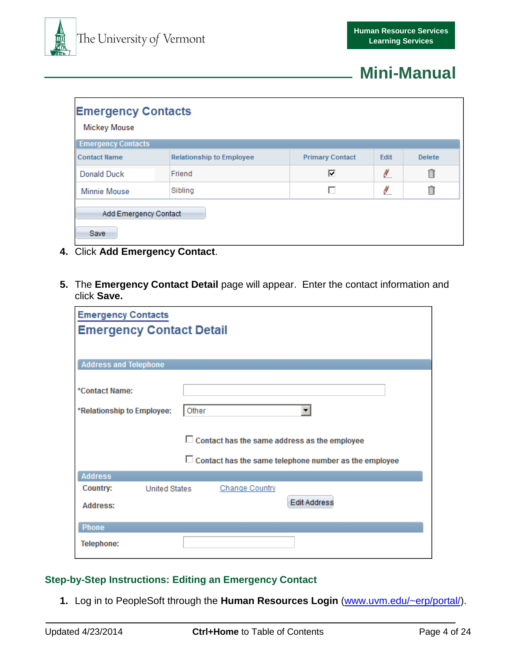

| <b>Emergency Contacts</b><br><b>Mickey Mouse</b> |                                 |                        |      |               |  |  |  |
|--------------------------------------------------|---------------------------------|------------------------|------|---------------|--|--|--|
| <b>Emergency Contacts</b>                        |                                 |                        |      |               |  |  |  |
| <b>Contact Name</b>                              | <b>Relationship to Employee</b> | <b>Primary Contact</b> | Edit | <b>Delete</b> |  |  |  |
| Donald Duck                                      | Friend                          | ⊽                      | Ł    | Ô             |  |  |  |
| <b>Minnie Mouse</b>                              | Sibling                         |                        | Ł    | Ô             |  |  |  |
| Add Emergency Contact<br>Save                    |                                 |                        |      |               |  |  |  |

- **4.** Click **Add Emergency Contact**.
- **5.** The **Emergency Contact Detail** page will appear. Enter the contact information and click **Save.**

| <b>Emergency Contacts</b>                                    |
|--------------------------------------------------------------|
| <b>Emergency Contact Detail</b>                              |
|                                                              |
|                                                              |
| <b>Address and Telephone</b>                                 |
| *Contact Name:                                               |
| Other<br>*Relationship to Employee:<br>▼                     |
| $\Box$ Contact has the same address as the employee          |
| $\Box$ Contact has the same telephone number as the employee |
| <b>Address</b>                                               |
| Country:<br><b>Change Country</b><br><b>United States</b>    |
| <b>Edit Address</b><br>Address:                              |
| Phone                                                        |
| <b>Telephone:</b>                                            |

#### <span id="page-3-0"></span>**Step-by-Step Instructions: Editing an Emergency Contact**

**1.** Log in to PeopleSoft through the **Human Resources Login** [\(www.uvm.edu/~erp/portal/\)](http://www.uvm.edu/~erp/portal/).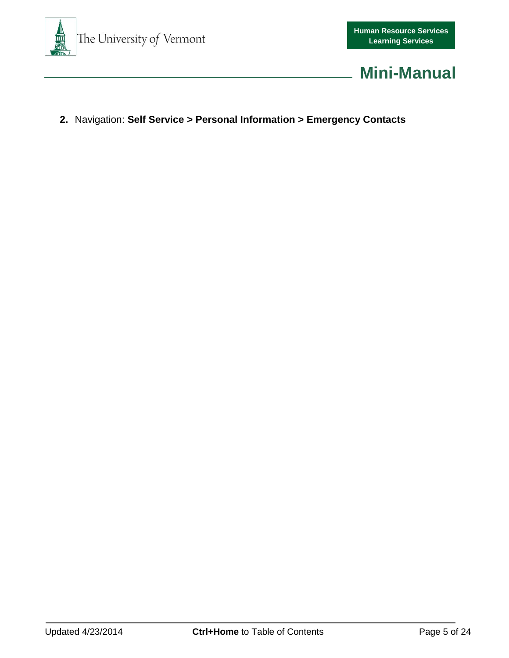



**2.** Navigation: **Self Service > Personal Information > Emergency Contacts**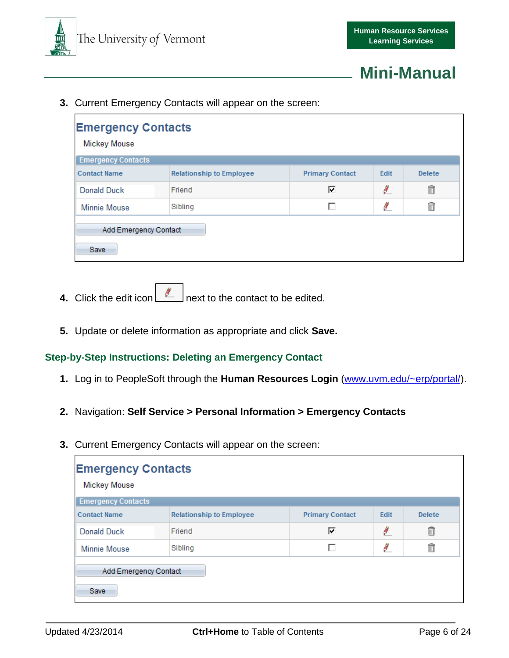



**3.** Current Emergency Contacts will appear on the screen:

| <b>Emergency Contacts</b><br><b>Mickey Mouse</b><br><b>Emergency Contacts</b> |                                 |                        |      |               |  |  |
|-------------------------------------------------------------------------------|---------------------------------|------------------------|------|---------------|--|--|
| <b>Contact Name</b>                                                           | <b>Relationship to Employee</b> | <b>Primary Contact</b> | Edit | <b>Delete</b> |  |  |
| Donald Duck                                                                   | Friend                          | ⊽                      | ł    | Ô             |  |  |
| <b>Minnie Mouse</b>                                                           | Sibling                         | п                      | ł    | Ñ             |  |  |
| Add Emergency Contact<br>Save                                                 |                                 |                        |      |               |  |  |

- **4.** Click the edit icon **next to the contact to be edited.**
- **5.** Update or delete information as appropriate and click **Save.**

#### <span id="page-5-0"></span>**Step-by-Step Instructions: Deleting an Emergency Contact**

- **1.** Log in to PeopleSoft through the **Human Resources Login** [\(www.uvm.edu/~erp/portal/\)](http://www.uvm.edu/~erp/portal/).
- **2.** Navigation: **Self Service > Personal Information > Emergency Contacts**
- **3.** Current Emergency Contacts will appear on the screen:

| <b>Emergency Contacts</b><br><b>Mickey Mouse</b> |                                 |                        |      |               |  |  |  |
|--------------------------------------------------|---------------------------------|------------------------|------|---------------|--|--|--|
| <b>Emergency Contacts</b>                        |                                 |                        |      |               |  |  |  |
| <b>Contact Name</b>                              | <b>Relationship to Employee</b> | <b>Primary Contact</b> | Edit | <b>Delete</b> |  |  |  |
| <b>Donald Duck</b>                               | Friend                          | ⊽                      | ø    | Ô             |  |  |  |
| <b>Minnie Mouse</b>                              | Sibling                         |                        | Ł    | ī             |  |  |  |
| Add Emergency Contact<br>Save                    |                                 |                        |      |               |  |  |  |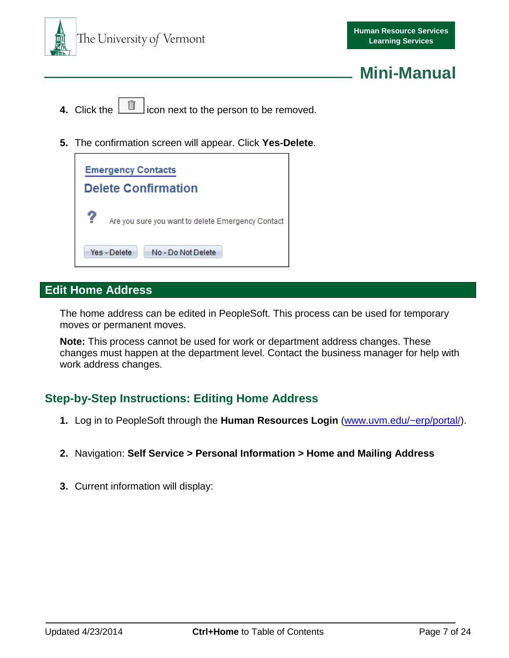

- **4.** Click the  $\boxed{\blacksquare}$  icon next to the person to be removed.
- **5.** The confirmation screen will appear. Click **Yes-Delete**.

|                            | <b>Emergency Contacts</b>                         |  |  |  |  |  |  |  |
|----------------------------|---------------------------------------------------|--|--|--|--|--|--|--|
| <b>Delete Confirmation</b> |                                                   |  |  |  |  |  |  |  |
| ?                          | Are you sure you want to delete Emergency Contact |  |  |  |  |  |  |  |
|                            | Yes - Delete<br>No - Do Not Delete                |  |  |  |  |  |  |  |

## <span id="page-6-0"></span>**Edit Home Address**

The home address can be edited in PeopleSoft. This process can be used for temporary moves or permanent moves.

**Note:** This process cannot be used for work or department address changes. These changes must happen at the department level. Contact the business manager for help with work address changes.

## <span id="page-6-1"></span>**Step-by-Step Instructions: Editing Home Address**

- **1.** Log in to PeopleSoft through the **Human Resources Login** [\(www.uvm.edu/~erp/portal/\)](http://www.uvm.edu/~erp/portal/).
- **2.** Navigation: **Self Service > Personal Information > Home and Mailing Address**
- **3.** Current information will display: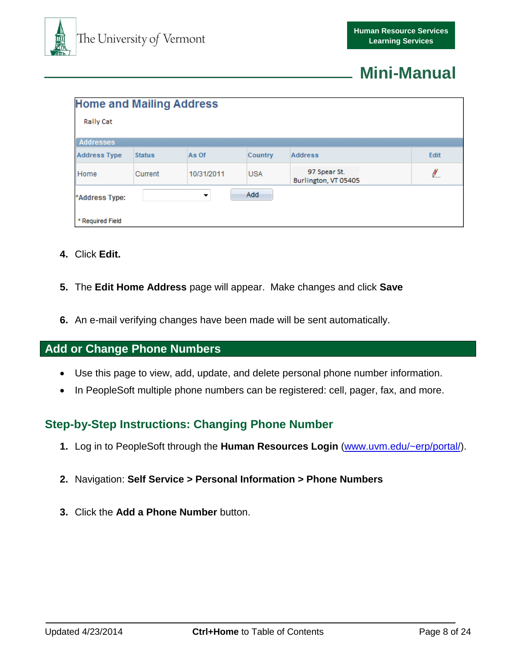

| <b>Home and Mailing Address</b> |               |            |            |                                      |      |
|---------------------------------|---------------|------------|------------|--------------------------------------|------|
| <b>Rally Cat</b>                |               |            |            |                                      |      |
| <b>Addresses</b>                |               |            |            |                                      |      |
| <b>Address Type</b>             | <b>Status</b> | As Of      | Country    | <b>Address</b>                       | Edit |
| Home                            | Current       | 10/31/2011 | <b>USA</b> | 97 Spear St.<br>Burlington, VT 05405 | ø    |
| *Address Type:                  |               | ▼          | Add        |                                      |      |
| * Required Field                |               |            |            |                                      |      |

- **4.** Click **Edit.**
- **5.** The **Edit Home Address** page will appear. Make changes and click **Save**
- **6.** An e-mail verifying changes have been made will be sent automatically.

### <span id="page-7-0"></span>**Add or Change Phone Numbers**

- Use this page to view, add, update, and delete personal phone number information.
- In PeopleSoft multiple phone numbers can be registered: cell, pager, fax, and more.

## <span id="page-7-1"></span>**Step-by-Step Instructions: Changing Phone Number**

- **1.** Log in to PeopleSoft through the **Human Resources Login** [\(www.uvm.edu/~erp/portal/\)](http://www.uvm.edu/~erp/portal/).
- **2.** Navigation: **Self Service > Personal Information > Phone Numbers**
- **3.** Click the **Add a Phone Number** button.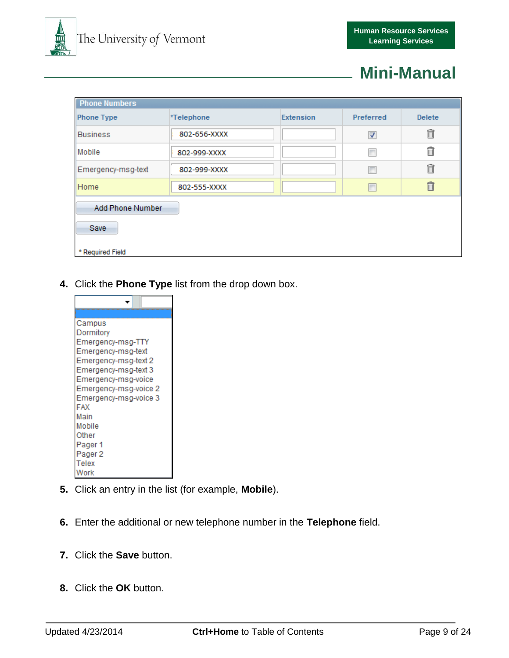

| <b>Phone Numbers</b>            |              |                  |                      |                |  |  |
|---------------------------------|--------------|------------------|----------------------|----------------|--|--|
| <b>Phone Type</b>               | *Telephone   | <b>Extension</b> | Preferred            | <b>Delete</b>  |  |  |
| <b>Business</b>                 | 802-656-XXXX |                  | $\blacktriangledown$ | $\blacksquare$ |  |  |
| Mobile                          | 802-999-XXXX |                  | г                    | Ô              |  |  |
| Emergency-msg-text              | 802-999-XXXX |                  | г                    | Ô              |  |  |
| Home                            | 802-555-XXXX |                  | г                    | 自              |  |  |
| <b>Add Phone Number</b><br>Save |              |                  |                      |                |  |  |
| * Required Field                |              |                  |                      |                |  |  |

**4.** Click the **Phone Type** list from the drop down box.



- **5.** Click an entry in the list (for example, **Mobile**).
- **6.** Enter the additional or new telephone number in the **Telephone** field.
- **7.** Click the **Save** button.
- **8.** Click the **OK** button.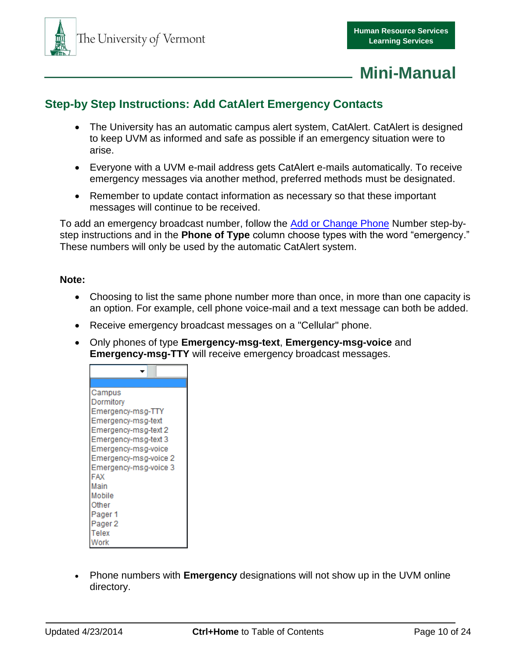

## <span id="page-9-0"></span>**Step-by Step Instructions: Add CatAlert Emergency Contacts**

- The University has an automatic campus alert system, CatAlert. CatAlert is designed to keep UVM as informed and safe as possible if an emergency situation were to arise.
- Everyone with a UVM e-mail address gets CatAlert e-mails automatically. To receive emergency messages via another method, preferred methods must be designated.
- Remember to update contact information as necessary so that these important messages will continue to be received.

To add an emergency broadcast number, follow the [Add or Change](#page-7-0) Phone Number step-bystep instructions and in the **Phone of Type** column choose types with the word "emergency." These numbers will only be used by the automatic CatAlert system.

#### **Note:**

- Choosing to list the same phone number more than once, in more than one capacity is an option. For example, cell phone voice-mail and a text message can both be added.
- Receive emergency broadcast messages on a "Cellular" phone.
- Only phones of type **Emergency-msg-text**, **Emergency-msg-voice** and **Emergency-msg-TTY** will receive emergency broadcast messages.

| Campus                |
|-----------------------|
| Dormitory             |
| Emergency-msg-TTY     |
| Emergency-msg-text    |
| Emergency-msg-text 2  |
| Emergency-msg-text 3  |
| Emergency-msg-voice   |
| Emergency-msg-voice 2 |
| Emergency-msg-voice 3 |
| FAX                   |
| Main                  |
| Mobile                |
| Other                 |
| Pager 1               |
| Pager 2               |
| Telex                 |
| Vork                  |

 Phone numbers with **Emergency** designations will not show up in the UVM online directory.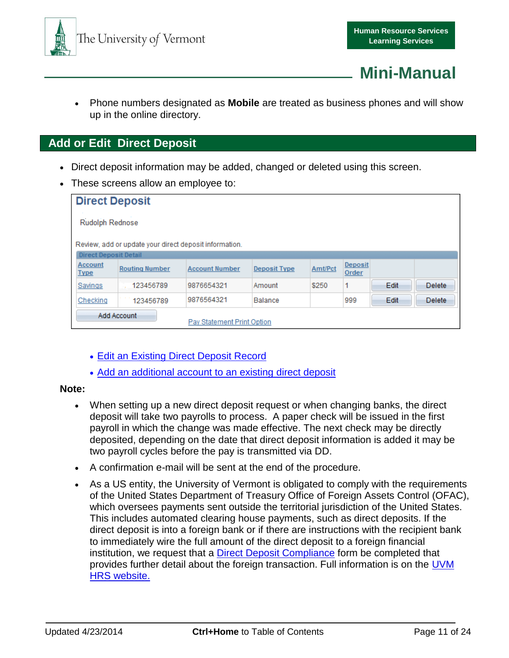



 Phone numbers designated as **Mobile** are treated as business phones and will show up in the online directory.

### <span id="page-10-1"></span><span id="page-10-0"></span>**Add or Edit Direct Deposit**

- Direct deposit information may be added, changed or deleted using this screen.
- These screens allow an employee to:

| <b>Direct Deposit</b>                     |                                                        |                       |                     |         |                  |      |               |  |
|-------------------------------------------|--------------------------------------------------------|-----------------------|---------------------|---------|------------------|------|---------------|--|
|                                           | Rudolph Rednose                                        |                       |                     |         |                  |      |               |  |
|                                           | Review, add or update your direct deposit information. |                       |                     |         |                  |      |               |  |
| <b>Direct Deposit Detail</b>              |                                                        |                       |                     |         |                  |      |               |  |
| Account<br><b>Type</b>                    | <b>Routing Number</b>                                  | <b>Account Number</b> | <b>Deposit Type</b> | Amt/Pct | Deposit<br>Order |      |               |  |
| Savings                                   | 123456789                                              | 9876654321            | Amount              | \$250   | 1                | Edit | <b>Delete</b> |  |
| Checking                                  | 123456789                                              | 9876564321            | Balance             |         | 999              | Edit | <b>Delete</b> |  |
| Add Account<br>Pay Statement Print Option |                                                        |                       |                     |         |                  |      |               |  |

- [Edit an Existing Direct Deposit Record](#page-13-0)
- [Add an additional account to an existing direct deposit](#page-11-1)

#### **Note:**

- When setting up a new direct deposit request or when changing banks, the direct deposit will take two payrolls to process. A paper check will be issued in the first payroll in which the change was made effective. The next check may be directly deposited, depending on the date that direct deposit information is added it may be two payroll cycles before the pay is transmitted via DD.
- A confirmation e-mail will be sent at the end of the procedure.
- As a US entity, the University of Vermont is obligated to comply with the requirements of the United States Department of Treasury Office of Foreign Assets Control (OFAC), which oversees payments sent outside the territorial jurisdiction of the United States. This includes automated clearing house payments, such as direct deposits. If the direct deposit is into a foreign bank or if there are instructions with the recipient bank to immediately wire the full amount of the direct deposit to a foreign financial institution, we request that a [Direct Deposit Compliance](http://www.uvm.edu/hrs/forms/directdepositcompliance.pdf) form be completed that provides further detail about the foreign transaction. Full information is on the UVM [HRS website.](http://www.uvm.edu/hrs/?Page=forms/directdepositnotice.html)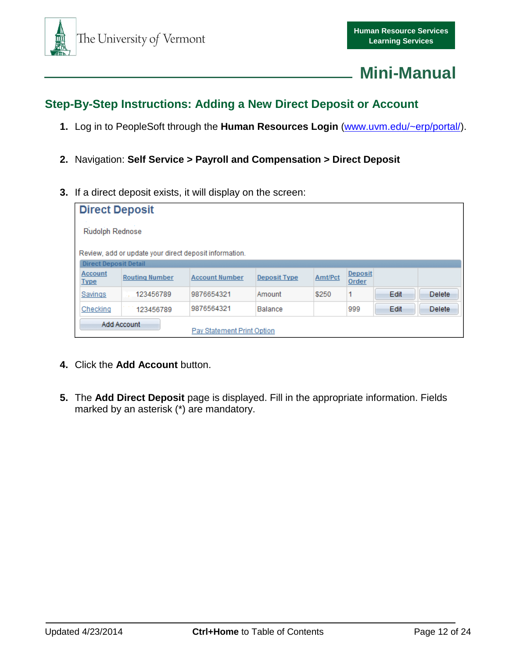

## <span id="page-11-0"></span>**Step-By-Step Instructions: Adding a New Direct Deposit or Account**

- **1.** Log in to PeopleSoft through the **Human Resources Login** [\(www.uvm.edu/~erp/portal/\)](http://www.uvm.edu/~erp/portal/).
- **2.** Navigation: **Self Service > Payroll and Compensation > Direct Deposit**
- **3.** If a direct deposit exists, it will display on the screen:

| <b>Direct Deposit</b>                     |                                                        |                       |                     |         |                  |      |               |  |
|-------------------------------------------|--------------------------------------------------------|-----------------------|---------------------|---------|------------------|------|---------------|--|
|                                           | Rudolph Rednose                                        |                       |                     |         |                  |      |               |  |
|                                           | Review, add or update your direct deposit information. |                       |                     |         |                  |      |               |  |
| <b>Direct Deposit Detail</b>              |                                                        |                       |                     |         |                  |      |               |  |
| Account<br><b>Type</b>                    | <b>Routing Number</b>                                  | <b>Account Number</b> | <b>Deposit Type</b> | Amt/Pct | Deposit<br>Order |      |               |  |
| Savings                                   | 123456789                                              | 9876654321            | Amount              | \$250   | 1                | Edit | <b>Delete</b> |  |
| Checking                                  | 123456789                                              | 9876564321            | Balance             |         | 999              | Edit | <b>Delete</b> |  |
| Add Account<br>Pay Statement Print Option |                                                        |                       |                     |         |                  |      |               |  |

- <span id="page-11-1"></span>**4.** Click the **Add Account** button.
- **5.** The **Add Direct Deposit** page is displayed. Fill in the appropriate information. Fields marked by an asterisk (\*) are mandatory.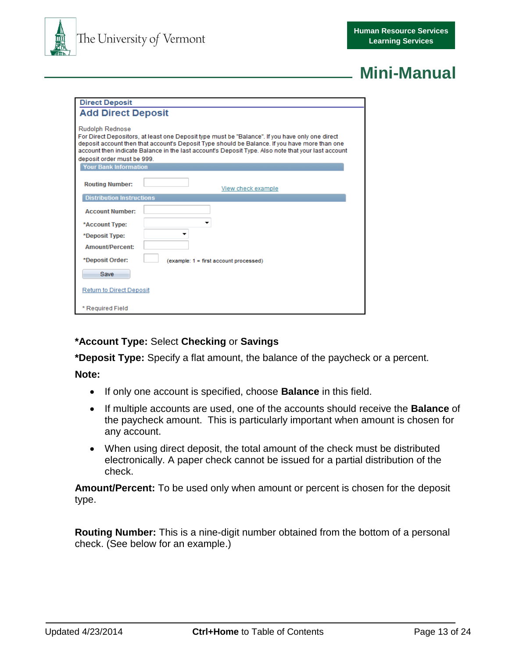

| <b>Direct Deposit</b>                                |                                                                                                                                                                                                                                                                                                        |
|------------------------------------------------------|--------------------------------------------------------------------------------------------------------------------------------------------------------------------------------------------------------------------------------------------------------------------------------------------------------|
| <b>Add Direct Deposit</b>                            |                                                                                                                                                                                                                                                                                                        |
| <b>Rudolph Rednose</b><br>deposit order must be 999. | For Direct Depositors, at least one Deposit type must be "Balance". If you have only one direct<br>deposit account then that account's Deposit Type should be Balance. If you have more than one<br>account then indicate Balance in the last account's Deposit Type. Also note that your last account |
| <b>Your Bank Information</b>                         |                                                                                                                                                                                                                                                                                                        |
| <b>Routing Number:</b>                               | View check example                                                                                                                                                                                                                                                                                     |
| <b>Distribution Instructions</b>                     |                                                                                                                                                                                                                                                                                                        |
| <b>Account Number:</b>                               |                                                                                                                                                                                                                                                                                                        |
| *Account Type:                                       |                                                                                                                                                                                                                                                                                                        |
| *Deposit Type:                                       |                                                                                                                                                                                                                                                                                                        |
| <b>Amount/Percent:</b>                               |                                                                                                                                                                                                                                                                                                        |
| *Deposit Order:                                      | (example: 1 = first account processed)                                                                                                                                                                                                                                                                 |
| Save                                                 |                                                                                                                                                                                                                                                                                                        |
| <b>Return to Direct Deposit</b>                      |                                                                                                                                                                                                                                                                                                        |
| * Required Field                                     |                                                                                                                                                                                                                                                                                                        |

### **\*Account Type:** Select **Checking** or **Savings**

**\*Deposit Type:** Specify a flat amount, the balance of the paycheck or a percent.

**Note:**

- If only one account is specified, choose **Balance** in this field.
- If multiple accounts are used, one of the accounts should receive the **Balance** of the paycheck amount. This is particularly important when amount is chosen for any account.
- When using direct deposit, the total amount of the check must be distributed electronically. A paper check cannot be issued for a partial distribution of the check.

**Amount/Percent:** To be used only when amount or percent is chosen for the deposit type.

**Routing Number:** This is a nine-digit number obtained from the bottom of a personal check. (See below for an example.)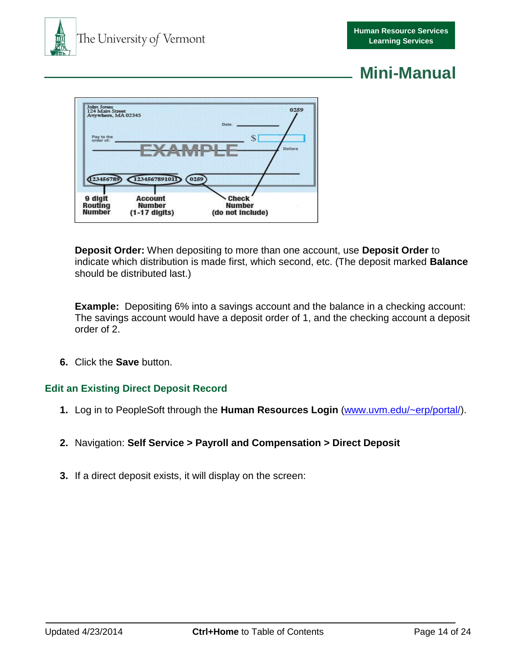



**Deposit Order:** When depositing to more than one account, use **Deposit Order** to indicate which distribution is made first, which second, etc. (The deposit marked **Balance** should be distributed last.)

**Example:** Depositing 6% into a savings account and the balance in a checking account: The savings account would have a deposit order of 1, and the checking account a deposit order of 2.

**6.** Click the **Save** button.

#### <span id="page-13-0"></span>**Edit an Existing Direct Deposit Record**

- **1.** Log in to PeopleSoft through the **Human Resources Login** [\(www.uvm.edu/~erp/portal/\)](http://www.uvm.edu/~erp/portal/).
- **2.** Navigation: **Self Service > Payroll and Compensation > Direct Deposit**
- **3.** If a direct deposit exists, it will display on the screen: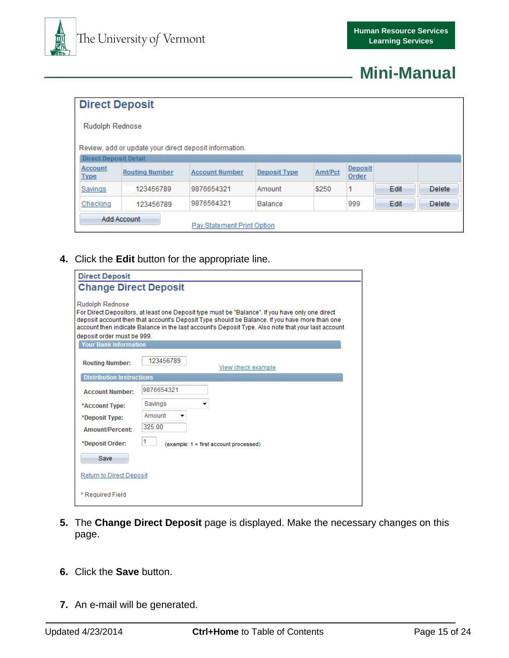

|                                           | <b>Direct Deposit</b>                                  |                                                       |                     |         |                  |      |               |  |
|-------------------------------------------|--------------------------------------------------------|-------------------------------------------------------|---------------------|---------|------------------|------|---------------|--|
|                                           | Rudolph Rednose                                        |                                                       |                     |         |                  |      |               |  |
|                                           | Review, add or update your direct deposit information. |                                                       |                     |         |                  |      |               |  |
| <b>Direct Deposit Detail</b>              |                                                        |                                                       |                     |         |                  |      |               |  |
| Account<br><b>Type</b>                    | <b>Routing Number</b>                                  | <b>Account Number</b>                                 | <b>Deposit Type</b> | Amt/Pct | Deposit<br>Order |      |               |  |
| Savings                                   | 123456789                                              | 9876654321                                            | Amount              | \$250   |                  | Edit | <b>Delete</b> |  |
| Checking                                  | 123456789                                              | 9876564321<br>Edit<br>999<br><b>Delete</b><br>Balance |                     |         |                  |      |               |  |
| Add Account<br>Pay Statement Print Option |                                                        |                                                       |                     |         |                  |      |               |  |

**4.** Click the **Edit** button for the appropriate line.

| <b>Direct Deposit</b>                                                                                                                                                                                                                                                                                                                                          |                                             |  |  |  |  |
|----------------------------------------------------------------------------------------------------------------------------------------------------------------------------------------------------------------------------------------------------------------------------------------------------------------------------------------------------------------|---------------------------------------------|--|--|--|--|
| <b>Change Direct Deposit</b>                                                                                                                                                                                                                                                                                                                                   |                                             |  |  |  |  |
| <b>Rudolph Rednose</b><br>For Direct Depositors, at least one Deposit type must be "Balance". If you have only one direct<br>deposit account then that account's Deposit Type should be Balance. If you have more than one<br>account then indicate Balance in the last account's Deposit Type. Also note that your last account<br>deposit order must be 999. |                                             |  |  |  |  |
| <b>Your Bank Information</b>                                                                                                                                                                                                                                                                                                                                   |                                             |  |  |  |  |
| <b>Routing Number:</b>                                                                                                                                                                                                                                                                                                                                         | 123456789<br>View check example             |  |  |  |  |
| <b>Distribution Instructions</b>                                                                                                                                                                                                                                                                                                                               |                                             |  |  |  |  |
| <b>Account Number:</b>                                                                                                                                                                                                                                                                                                                                         | 9876654321                                  |  |  |  |  |
| *Account Type:<br>*Deposit Type:<br><b>Amount/Percent:</b>                                                                                                                                                                                                                                                                                                     | Savings<br>Amount<br>325.00                 |  |  |  |  |
| *Deposit Order:<br>Save                                                                                                                                                                                                                                                                                                                                        | 1<br>(example: 1 = first account processed) |  |  |  |  |
| <b>Return to Direct Deposit</b>                                                                                                                                                                                                                                                                                                                                |                                             |  |  |  |  |
| * Required Field                                                                                                                                                                                                                                                                                                                                               |                                             |  |  |  |  |

- **5.** The Change Direct Deposit page is displayed. Make the necessary changes on this page.
- **6.** Click the **Save** button.
- **7.** An e-mail will be generated.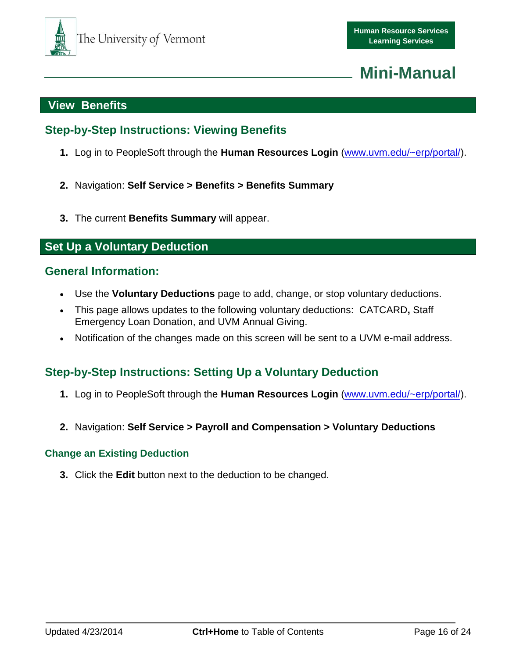

## <span id="page-15-6"></span><span id="page-15-0"></span>**View Benefits**

## <span id="page-15-1"></span>**Step-by-Step Instructions: Viewing Benefits**

- **1.** Log in to PeopleSoft through the **Human Resources Login** [\(www.uvm.edu/~erp/portal/\)](http://www.uvm.edu/~erp/portal/).
- **2.** Navigation: **Self Service > Benefits > Benefits Summary**
- **3.** The current **Benefits Summary** will appear.

### <span id="page-15-2"></span>**Set Up a Voluntary Deduction**

### <span id="page-15-3"></span>**General Information:**

- Use the **Voluntary Deductions** page to add, change, or stop voluntary deductions.
- This page allows updates to the following voluntary deductions: CATCARD**,** Staff Emergency Loan Donation, and UVM Annual Giving.
- Notification of the changes made on this screen will be sent to a UVM e-mail address.

## <span id="page-15-4"></span>**Step-by-Step Instructions: Setting Up a Voluntary Deduction**

- **1.** Log in to PeopleSoft through the **Human Resources Login** [\(www.uvm.edu/~erp/portal/\)](http://www.uvm.edu/~erp/portal/).
- **2.** Navigation: **Self Service > Payroll and Compensation > Voluntary Deductions**

#### <span id="page-15-5"></span>**Change an Existing Deduction**

**3.** Click the **Edit** button next to the deduction to be changed.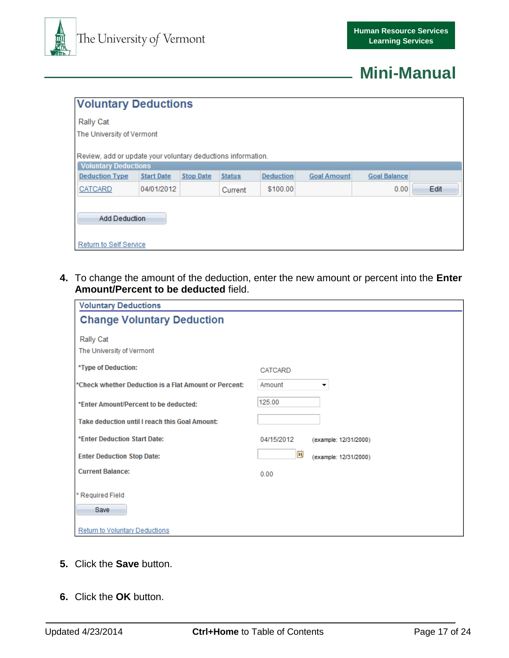

|                                                                                             | <b>Voluntary Deductions</b> |                  |               |                  |                    |                     |  |  |
|---------------------------------------------------------------------------------------------|-----------------------------|------------------|---------------|------------------|--------------------|---------------------|--|--|
| <b>Rally Cat</b>                                                                            |                             |                  |               |                  |                    |                     |  |  |
| The University of Vermont                                                                   |                             |                  |               |                  |                    |                     |  |  |
| Review, add or update your voluntary deductions information.<br><b>Voluntary Deductions</b> |                             |                  |               |                  |                    |                     |  |  |
| <b>Deduction Type</b>                                                                       | <b>Start Date</b>           | <b>Stop Date</b> | <b>Status</b> | <b>Deduction</b> | <b>Goal Amount</b> | <b>Goal Balance</b> |  |  |
| CATCARD                                                                                     | 04/01/2012                  |                  | Current       | \$100.00         |                    | Edit<br>0.00        |  |  |
| <b>Add Deduction</b><br>Return to Self Service                                              |                             |                  |               |                  |                    |                     |  |  |

**4.** To change the amount of the deduction, enter the new amount or percent into the **Enter Amount/Percent to be deducted** field.

| <b>Voluntary Deductions</b>                           |                                     |
|-------------------------------------------------------|-------------------------------------|
| <b>Change Voluntary Deduction</b>                     |                                     |
|                                                       |                                     |
| Rally Cat                                             |                                     |
| The University of Vermont                             |                                     |
| *Type of Deduction:                                   | <b>CATCARD</b>                      |
| *Check whether Deduction is a Flat Amount or Percent: | Amount<br>▼                         |
|                                                       |                                     |
| *Enter Amount/Percent to be deducted:                 | 125.00                              |
| Take deduction until I reach this Goal Amount:        |                                     |
|                                                       |                                     |
| *Enter Deduction Start Date:                          | 04/15/2012<br>(example: 12/31/2000) |
| <b>Enter Deduction Stop Date:</b>                     | E)<br>(example: 12/31/2000)         |
| <b>Current Balance:</b>                               | 0.00                                |
|                                                       |                                     |
| * Required Field                                      |                                     |
| Save                                                  |                                     |
|                                                       |                                     |
| <b>Return to Voluntary Deductions</b>                 |                                     |

- **5.** Click the **Save** button.
- **6.** Click the **OK** button.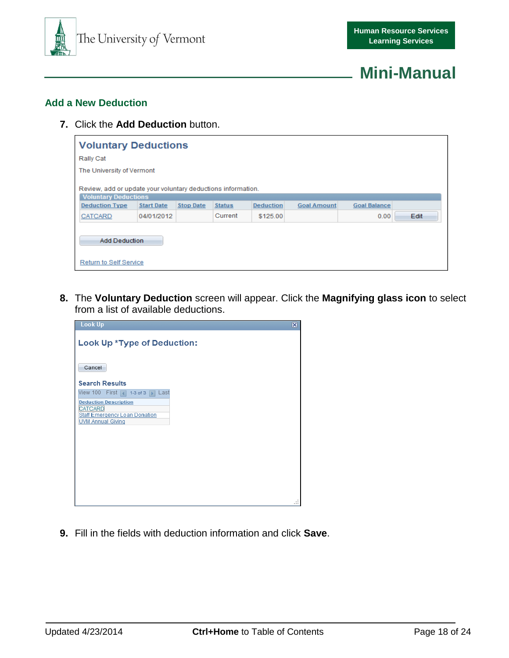

#### <span id="page-17-0"></span>**Add a New Deduction**

**7.** Click the **Add Deduction** button.

| <b>Voluntary Deductions</b>                                                                 |                   |                  |               |                  |                    |                     |
|---------------------------------------------------------------------------------------------|-------------------|------------------|---------------|------------------|--------------------|---------------------|
| Rally Cat                                                                                   |                   |                  |               |                  |                    |                     |
| The University of Vermont                                                                   |                   |                  |               |                  |                    |                     |
| Review, add or update your voluntary deductions information.<br><b>Voluntary Deductions</b> |                   |                  |               |                  |                    |                     |
| <b>Deduction Type</b>                                                                       | <b>Start Date</b> | <b>Stop Date</b> | <b>Status</b> | <b>Deduction</b> | <b>Goal Amount</b> | <b>Goal Balance</b> |
| <b>CATCARD</b>                                                                              | 04/01/2012        |                  | Current       | \$125.00         |                    | 0.00<br>Edit        |
| <b>Add Deduction</b><br>Return to Self Service                                              |                   |                  |               |                  |                    |                     |

**8.** The **Voluntary Deduction** screen will appear. Click the **Magnifying glass icon** to select from a list of available deductions.

| <b>Look Up</b>                                                                                              | ⊠     |
|-------------------------------------------------------------------------------------------------------------|-------|
| Look Up *Type of Deduction:                                                                                 |       |
| Cancel                                                                                                      |       |
| <b>Search Results</b>                                                                                       |       |
| View 100 First 1-3 of 3   Last                                                                              |       |
| <b>Deduction Description</b><br>CATCARD<br><b>Staff Emergency Loan Donation</b><br><b>UVM Annual Giving</b> |       |
|                                                                                                             | $-11$ |

**9.** Fill in the fields with deduction information and click **Save**.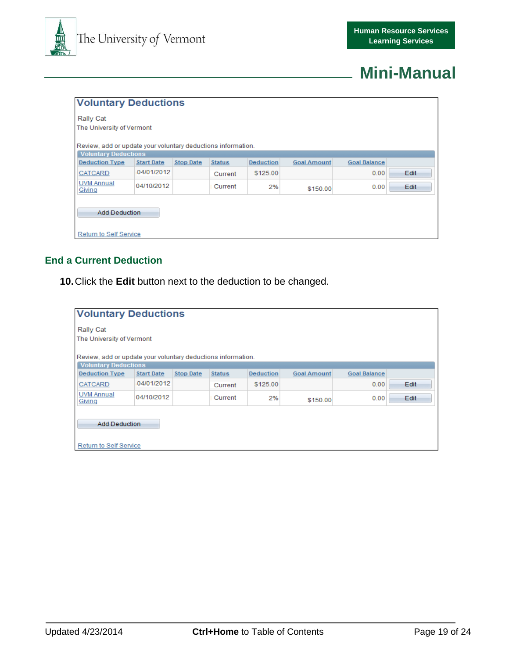

|                             | <b>Voluntary Deductions</b>                                  |                  |               |                  |                    |                     |      |
|-----------------------------|--------------------------------------------------------------|------------------|---------------|------------------|--------------------|---------------------|------|
| Rally Cat                   |                                                              |                  |               |                  |                    |                     |      |
| The University of Vermont   |                                                              |                  |               |                  |                    |                     |      |
| <b>Voluntary Deductions</b> | Review, add or update your voluntary deductions information. |                  |               |                  |                    |                     |      |
| <b>Deduction Type</b>       | <b>Start Date</b>                                            | <b>Stop Date</b> | <b>Status</b> | <b>Deduction</b> | <b>Goal Amount</b> | <b>Goal Balance</b> |      |
| <b>CATCARD</b>              | 04/01/2012                                                   |                  | Current       | \$125.00         |                    | 0.00                | Edit |
| <b>UVM Annual</b><br>Giving | 04/10/2012                                                   |                  | Current       | 2%               | \$150.00           | 0.00                | Edit |
| <b>Add Deduction</b>        |                                                              |                  |               |                  |                    |                     |      |
| Return to Self Service      |                                                              |                  |               |                  |                    |                     |      |

#### <span id="page-18-0"></span>**End a Current Deduction**

**10.**Click the **Edit** button next to the deduction to be changed.

|                                                              | <b>Voluntary Deductions</b> |                  |               |                  |                    |                     |      |
|--------------------------------------------------------------|-----------------------------|------------------|---------------|------------------|--------------------|---------------------|------|
| Rally Cat                                                    |                             |                  |               |                  |                    |                     |      |
| The University of Vermont                                    |                             |                  |               |                  |                    |                     |      |
| Review, add or update your voluntary deductions information. |                             |                  |               |                  |                    |                     |      |
| <b>Voluntary Deductions</b>                                  |                             |                  |               |                  |                    |                     |      |
| <b>Deduction Type</b>                                        | <b>Start Date</b>           | <b>Stop Date</b> | <b>Status</b> | <b>Deduction</b> | <b>Goal Amount</b> | <b>Goal Balance</b> |      |
| <b>CATCARD</b>                                               | 04/01/2012                  |                  | Current       | \$125.00         |                    | 0.00                | Edit |
| <b>UVM Annual</b><br>Giving                                  | 04/10/2012                  |                  | Current       | 2%               | \$150.00           | 0.00                | Edit |
| <b>Add Deduction</b>                                         |                             |                  |               |                  |                    |                     |      |
| <b>Return to Self Service</b>                                |                             |                  |               |                  |                    |                     |      |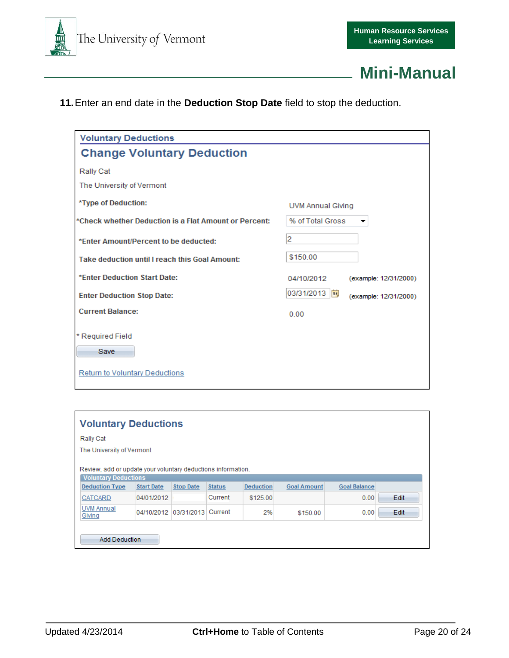



**11.**Enter an end date in the **Deduction Stop Date** field to stop the deduction.

| <b>Voluntary Deductions</b>                           |                                       |
|-------------------------------------------------------|---------------------------------------|
| <b>Change Voluntary Deduction</b>                     |                                       |
| Rally Cat                                             |                                       |
| The University of Vermont                             |                                       |
| *Type of Deduction:                                   | UVM Annual Giving                     |
| *Check whether Deduction is a Flat Amount or Percent: | % of Total Gross<br>▼                 |
| *Enter Amount/Percent to be deducted:                 | 2                                     |
| Take deduction until I reach this Goal Amount:        | \$150.00                              |
| *Enter Deduction Start Date:                          | 04/10/2012<br>(example: 12/31/2000)   |
| <b>Enter Deduction Stop Date:</b>                     | 03/31/2013 同<br>(example: 12/31/2000) |
| <b>Current Balance:</b>                               | 0.00                                  |
| * Required Field<br>Save                              |                                       |
| <b>Return to Voluntary Deductions</b>                 |                                       |

|                                                                                             | <b>Voluntary Deductions</b>   |                  |               |                  |                    |                     |      |
|---------------------------------------------------------------------------------------------|-------------------------------|------------------|---------------|------------------|--------------------|---------------------|------|
| Rally Cat                                                                                   |                               |                  |               |                  |                    |                     |      |
| The University of Vermont                                                                   |                               |                  |               |                  |                    |                     |      |
| Review, add or update your voluntary deductions information.<br><b>Voluntary Deductions</b> |                               |                  |               |                  |                    |                     |      |
| <b>Deduction Type</b>                                                                       | <b>Start Date</b>             | <b>Stop Date</b> | <b>Status</b> | <b>Deduction</b> | <b>Goal Amount</b> | <b>Goal Balance</b> |      |
| <b>CATCARD</b>                                                                              | 04/01/2012                    |                  | Current       | \$125.00         |                    | 0.00                | Edit |
| <b>UVM Annual</b><br>Giving                                                                 | 04/10/2012 03/31/2013 Current |                  |               | 2%               | \$150.00           | 0.00                | Edit |
| <b>Add Deduction</b>                                                                        |                               |                  |               |                  |                    |                     |      |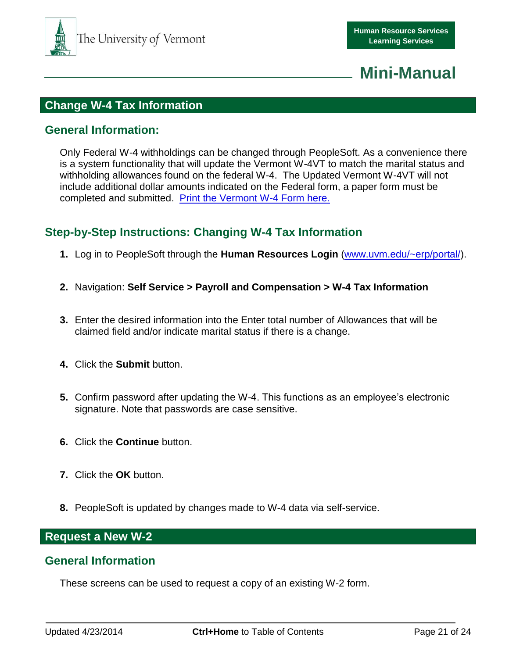

## <span id="page-20-0"></span>**Change W-4 Tax Information**

### <span id="page-20-1"></span>**General Information:**

Only Federal W-4 withholdings can be changed through PeopleSoft. As a convenience there is a system functionality that will update the Vermont W-4VT to match the marital status and withholding allowances found on the federal W-4. The Updated Vermont W-4VT will not include additional dollar amounts indicated on the Federal form, a paper form must be completed and submitted. [Print the Vermont W-4 Form here.](http://www.state.vt.us/tax/pdf.word.excel/forms/business/w4vt.pdf)

## <span id="page-20-2"></span>**Step-by-Step Instructions: Changing W-4 Tax Information**

- **1.** Log in to PeopleSoft through the **Human Resources Login** [\(www.uvm.edu/~erp/portal/\)](http://www.uvm.edu/~erp/portal/).
- **2.** Navigation: **Self Service > Payroll and Compensation > W-4 Tax Information**
- **3.** Enter the desired information into the Enter total number of Allowances that will be claimed field and/or indicate marital status if there is a change.
- **4.** Click the **Submit** button.
- **5.** Confirm password after updating the W-4. This functions as an employee's electronic signature. Note that passwords are case sensitive.
- **6.** Click the **Continue** button.
- **7.** Click the **OK** button.
- **8.** PeopleSoft is updated by changes made to W-4 data via self-service.

### <span id="page-20-3"></span>**Request a New W-2**

### <span id="page-20-4"></span>**General Information**

These screens can be used to request a copy of an existing W-2 form.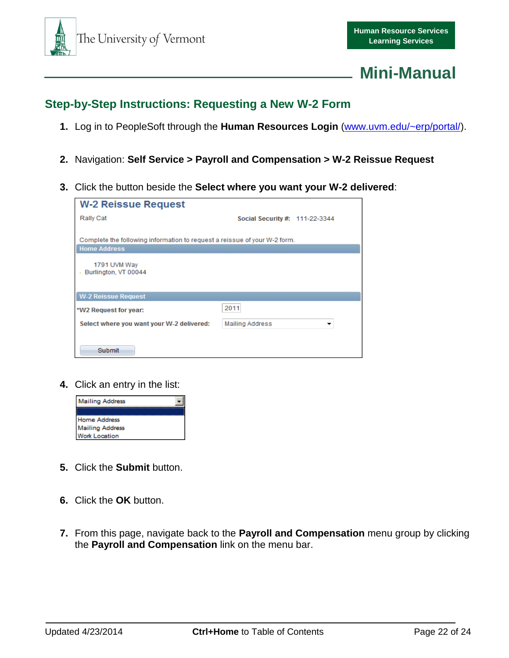

## <span id="page-21-0"></span>**Step-by-Step Instructions: Requesting a New W-2 Form**

- **1.** Log in to PeopleSoft through the **Human Resources Login** [\(www.uvm.edu/~erp/portal/\)](http://www.uvm.edu/~erp/portal/).
- **2.** Navigation: **Self Service > Payroll and Compensation > W-2 Reissue Request**
- **3.** Click the button beside the **Select where you want your W-2 delivered**:

| <b>W-2 Reissue Request</b>                                                                       |                                |
|--------------------------------------------------------------------------------------------------|--------------------------------|
| Rally Cat                                                                                        | Social Security #: 111-22-3344 |
| Complete the following information to request a reissue of your W-2 form.<br><b>Home Address</b> |                                |
| 1791 UVM Way<br>Burlington, VT 00044                                                             |                                |
| <b>W-2 Reissue Request</b>                                                                       |                                |
| *W2 Request for year:                                                                            | 2011                           |
| Select where you want your W-2 delivered:                                                        | <b>Mailing Address</b>         |
| Submit                                                                                           |                                |

**4.** Click an entry in the list:



- **5.** Click the **Submit** button.
- **6.** Click the **OK** button.
- **7.** From this page, navigate back to the **Payroll and Compensation** menu group by clicking the **Payroll and Compensation** link on the menu bar.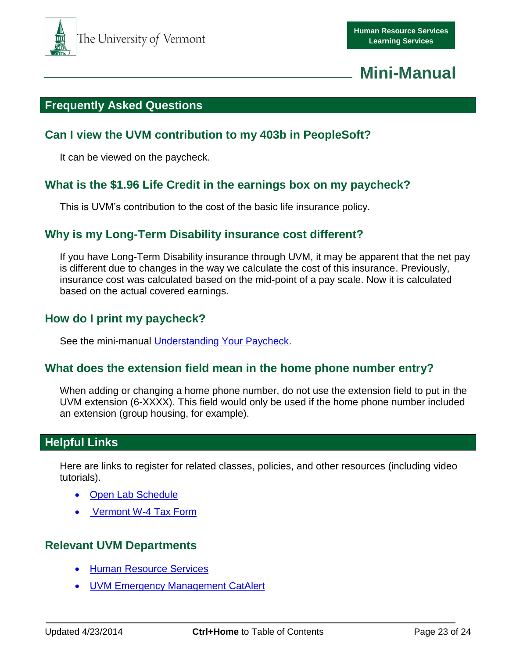

## <span id="page-22-0"></span>**Frequently Asked Questions**

### <span id="page-22-1"></span>**Can I view the UVM contribution to my 403b in PeopleSoft?**

It can be viewed on the paycheck.

## <span id="page-22-2"></span>**What is the \$1.96 Life Credit in the earnings box on my paycheck?**

This is UVM's contribution to the cost of the basic life insurance policy.

### <span id="page-22-3"></span>**Why is my Long-Term Disability insurance cost different?**

If you have Long-Term Disability insurance through UVM, it may be apparent that the net pay is different due to changes in the way we calculate the cost of this insurance. Previously, insurance cost was calculated based on the mid-point of a pay scale. Now it is calculated based on the actual covered earnings.

## <span id="page-22-4"></span>**How do I print my paycheck?**

See the mini-manual [Understanding Your](http://www.uvm.edu/hrs/skills/manuals/paycheck.pdf) Paycheck.

### <span id="page-22-5"></span>**What does the extension field mean in the home phone number entry?**

When adding or changing a home phone number, do not use the extension field to put in the UVM extension (6-XXXX). This field would only be used if the home phone number included an extension (group housing, for example).

## <span id="page-22-6"></span>**Helpful Links**

Here are links to register for related classes, policies, and other resources (including video tutorials).

- [Open Lab Schedule](http://www.uvm.edu/hrs/?Page=skills/openlabs.html&SM=skills/skillsmenu.html)
- [Vermont W-4 Tax Form](http://www.state.vt.us/tax/pdf.word.excel/forms/business/w4vt.pdf)

## <span id="page-22-7"></span>**Relevant UVM Departments**

- **[Human Resource Services](http://www.uvm.edu/hrs/)**
- **[UVM Emergency Management CatAlert](http://www.uvm.edu/~emergncy/?Page=catalert.html)**